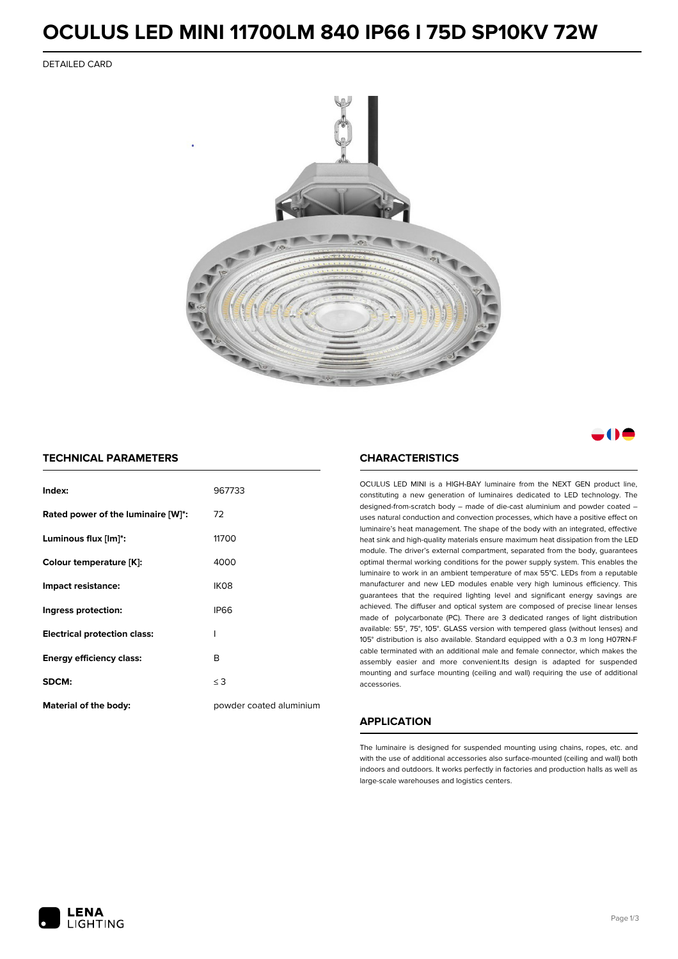### **OCULUS LED MINI 11700LM 840 IP66 I 75D SP10KV 72W**

DETAILED CARD



### . . . .

### **TECHNICAL PARAMETERS**

| Index:                              | 967733                  |
|-------------------------------------|-------------------------|
| Rated power of the luminaire [W]*:  | 72                      |
| Luminous flux [lm]*:                | 11700                   |
| Colour temperature [K]:             | 4000                    |
| Impact resistance:                  | IK <sub>08</sub>        |
| Ingress protection:                 | <b>IP66</b>             |
| <b>Electrical protection class:</b> | ı                       |
| <b>Energy efficiency class:</b>     | B                       |
| SDCM:                               | $\leq$ 3                |
| <b>Material of the body:</b>        | powder coated aluminium |

#### **CHARACTERISTICS**

OCULUS LED MINI is a HIGH-BAY luminaire from the NEXT GEN product line, constituting a new generation of luminaires dedicated to LED technology. The designed-from-scratch body – made of die-cast aluminium and powder coated – uses natural conduction and convection processes, which have a positive effect on luminaire's heat management. The shape of the body with an integrated, effective heat sink and high-quality materials ensure maximum heat dissipation from the LED module. The driver's external compartment, separated from the body, guarantees optimal thermal working conditions for the power supply system. This enables the luminaire to work in an ambient temperature of max 55°C. LEDs from a reputable manufacturer and new LED modules enable very high luminous efficiency. This guarantees that the required lighting level and significant energy savings are achieved. The diffuser and optical system are composed of precise linear lenses made of polycarbonate (PC). There are 3 dedicated ranges of light distribution available: 55°, 75°, 105°. GLASS version with tempered glass (without lenses) and 105° distribution is also available. Standard equipped with a 0.3 m long H07RN-F cable terminated with an additional male and female connector, which makes the assembly easier and more convenient.Its design is adapted for suspended mounting and surface mounting (ceiling and wall) requiring the use of additional accessories.

### **APPLICATION**

The luminaire is designed for suspended mounting using chains, ropes, etc. and with the use of additional accessories also surface-mounted (ceiling and wall) both indoors and outdoors. It works perfectly in factories and production halls as well as large-scale warehouses and logistics centers.

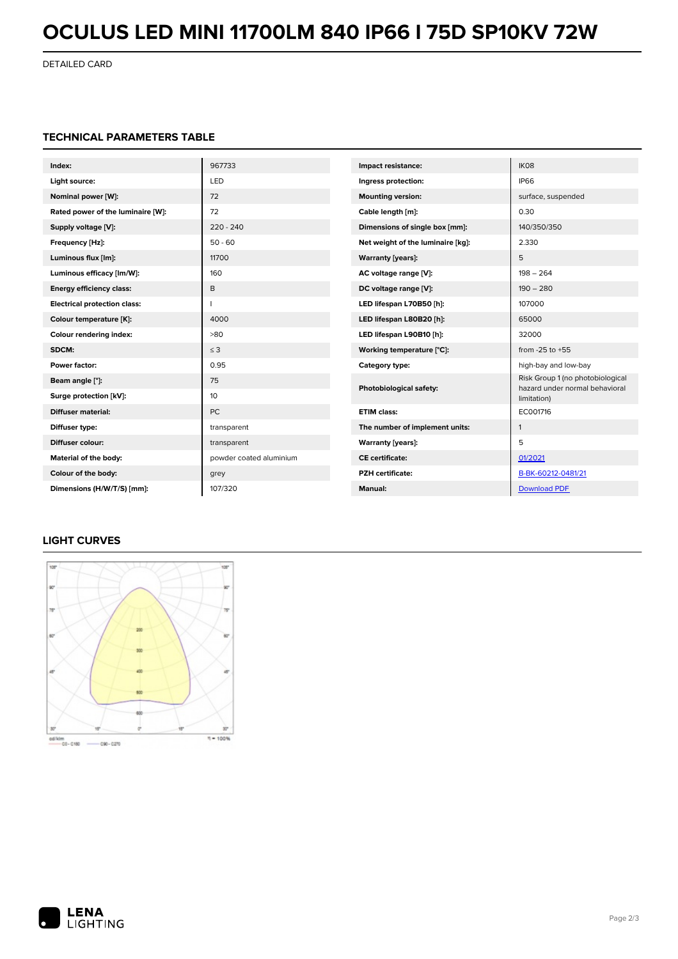# **OCULUS LED MINI 11700LM 840 IP66 I 75D SP10KV 72W**

DETAILED CARD

### **TECHNICAL PARAMETERS TABLE**

| Index:                              | 967733                  | Impact resistance:                                                       | IK08                             |
|-------------------------------------|-------------------------|--------------------------------------------------------------------------|----------------------------------|
| Light source:                       | LED                     | Ingress protection:                                                      | <b>IP66</b>                      |
| Nominal power [W]:                  | 72                      | <b>Mounting version:</b>                                                 | surface, suspended               |
| Rated power of the luminaire [W]:   | 72                      | Cable length [m]:                                                        | 0.30                             |
| Supply voltage [V]:                 | $220 - 240$             | Dimensions of single box [mm]:                                           | 140/350/350                      |
| Frequency [Hz]:                     | $50 - 60$               | Net weight of the luminaire [kg]:                                        | 2.330                            |
| Luminous flux [lm]:                 | 11700                   | Warranty [years]:                                                        | 5                                |
| Luminous efficacy [Im/W]:           | 160                     | AC voltage range [V]:                                                    | $198 - 264$                      |
| <b>Energy efficiency class:</b>     | B                       | DC voltage range [V]:                                                    | $190 - 280$                      |
| <b>Electrical protection class:</b> |                         | LED lifespan L70B50 [h]:                                                 | 107000                           |
| Colour temperature [K]:             | 4000                    | LED lifespan L80B20 [h]:                                                 | 65000                            |
| Colour rendering index:             | >80                     | LED lifespan L90B10 [h]:                                                 | 32000                            |
| SDCM:                               | $\leq$ 3                | Working temperature [°C]:                                                | from $-25$ to $+55$              |
| Power factor:                       | 0.95                    | Category type:                                                           | high-bay and low-bay             |
| Beam angle [°]:                     | 75                      | Photobiological safety:<br>hazard under normal behavioral<br>limitation) | Risk Group 1 (no photobiological |
| Surge protection [kV]:              | 10                      |                                                                          |                                  |
| <b>Diffuser material:</b>           | <b>PC</b>               | <b>ETIM class:</b>                                                       | EC001716                         |
| Diffuser type:                      | transparent             | The number of implement units:                                           | $\mathbf{1}$                     |
| Diffuser colour:                    | transparent             | Warranty [years]:                                                        | 5                                |
| Material of the body:               | powder coated aluminium | <b>CE</b> certificate:                                                   | 01/2021                          |
| Colour of the body:                 | grey                    | <b>PZH</b> certificate:                                                  | B-BK-60212-0481/21               |
| Dimensions (H/W/T/S) [mm]:          | 107/320                 | <b>Manual:</b>                                                           | <b>Download PDF</b>              |

### **LIGHT CURVES**